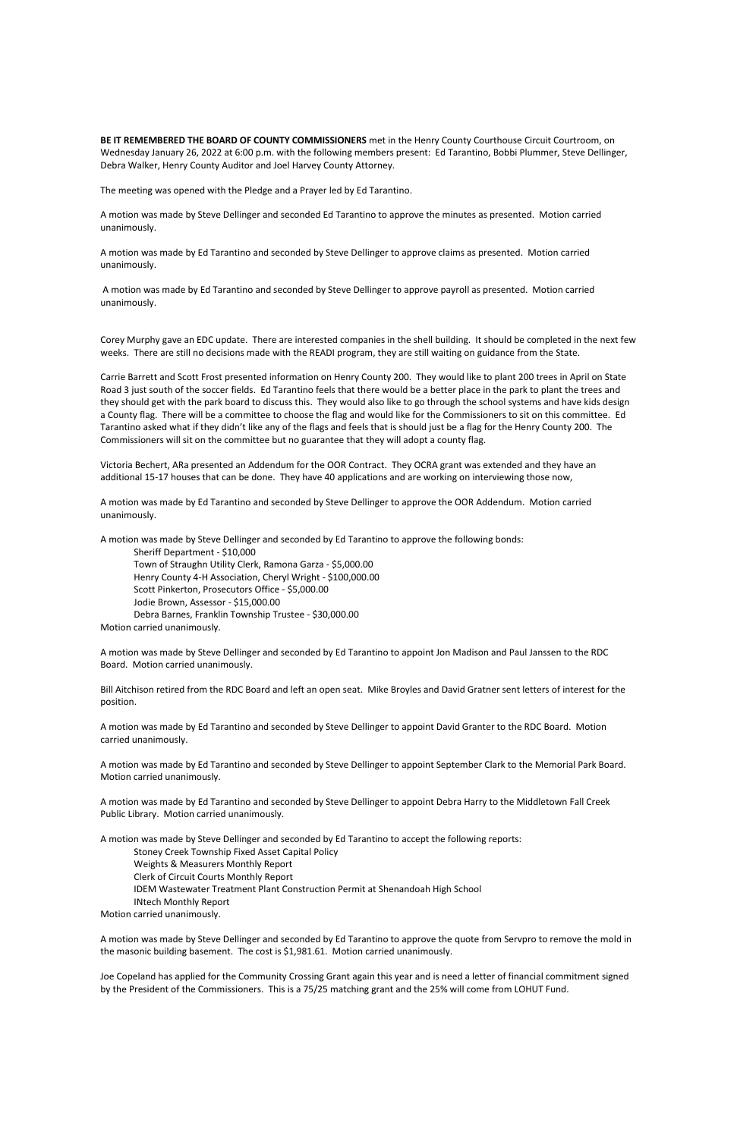**BE IT REMEMBERED THE BOARD OF COUNTY COMMISSIONERS** met in the Henry County Courthouse Circuit Courtroom, on Wednesday January 26, 2022 at 6:00 p.m. with the following members present: Ed Tarantino, Bobbi Plummer, Steve Dellinger, Debra Walker, Henry County Auditor and Joel Harvey County Attorney.

The meeting was opened with the Pledge and a Prayer led by Ed Tarantino.

A motion was made by Steve Dellinger and seconded Ed Tarantino to approve the minutes as presented. Motion carried unanimously.

A motion was made by Ed Tarantino and seconded by Steve Dellinger to approve claims as presented. Motion carried unanimously.

A motion was made by Ed Tarantino and seconded by Steve Dellinger to approve payroll as presented. Motion carried unanimously.

Corey Murphy gave an EDC update. There are interested companies in the shell building. It should be completed in the next few weeks. There are still no decisions made with the READI program, they are still waiting on guidance from the State.

Carrie Barrett and Scott Frost presented information on Henry County 200. They would like to plant 200 trees in April on State Road 3 just south of the soccer fields. Ed Tarantino feels that there would be a better place in the park to plant the trees and they should get with the park board to discuss this. They would also like to go through the school systems and have kids design a County flag. There will be a committee to choose the flag and would like for the Commissioners to sit on this committee. Ed Tarantino asked what if they didn't like any of the flags and feels that is should just be a flag for the Henry County 200. The Commissioners will sit on the committee but no guarantee that they will adopt a county flag.

Victoria Bechert, ARa presented an Addendum for the OOR Contract. They OCRA grant was extended and they have an additional 15-17 houses that can be done. They have 40 applications and are working on interviewing those now,

A motion was made by Ed Tarantino and seconded by Steve Dellinger to approve the OOR Addendum. Motion carried unanimously.

A motion was made by Steve Dellinger and seconded by Ed Tarantino to approve the following bonds: Sheriff Department - \$10,000

Town of Straughn Utility Clerk, Ramona Garza - \$5,000.00 Henry County 4-H Association, Cheryl Wright - \$100,000.00 Scott Pinkerton, Prosecutors Office - \$5,000.00 Jodie Brown, Assessor - \$15,000.00 Debra Barnes, Franklin Township Trustee - \$30,000.00 Motion carried unanimously.

A motion was made by Steve Dellinger and seconded by Ed Tarantino to appoint Jon Madison and Paul Janssen to the RDC Board. Motion carried unanimously.

Bill Aitchison retired from the RDC Board and left an open seat. Mike Broyles and David Gratner sent letters of interest for the position.

A motion was made by Ed Tarantino and seconded by Steve Dellinger to appoint David Granter to the RDC Board. Motion carried unanimously.

A motion was made by Ed Tarantino and seconded by Steve Dellinger to appoint September Clark to the Memorial Park Board. Motion carried unanimously.

A motion was made by Ed Tarantino and seconded by Steve Dellinger to appoint Debra Harry to the Middletown Fall Creek Public Library. Motion carried unanimously.

A motion was made by Steve Dellinger and seconded by Ed Tarantino to accept the following reports: Stoney Creek Township Fixed Asset Capital Policy Weights & Measurers Monthly Report Clerk of Circuit Courts Monthly Report IDEM Wastewater Treatment Plant Construction Permit at Shenandoah High School INtech Monthly Report

Motion carried unanimously.

A motion was made by Steve Dellinger and seconded by Ed Tarantino to approve the quote from Servpro to remove the mold in the masonic building basement. The cost is \$1,981.61. Motion carried unanimously.

Joe Copeland has applied for the Community Crossing Grant again this year and is need a letter of financial commitment signed by the President of the Commissioners. This is a 75/25 matching grant and the 25% will come from LOHUT Fund.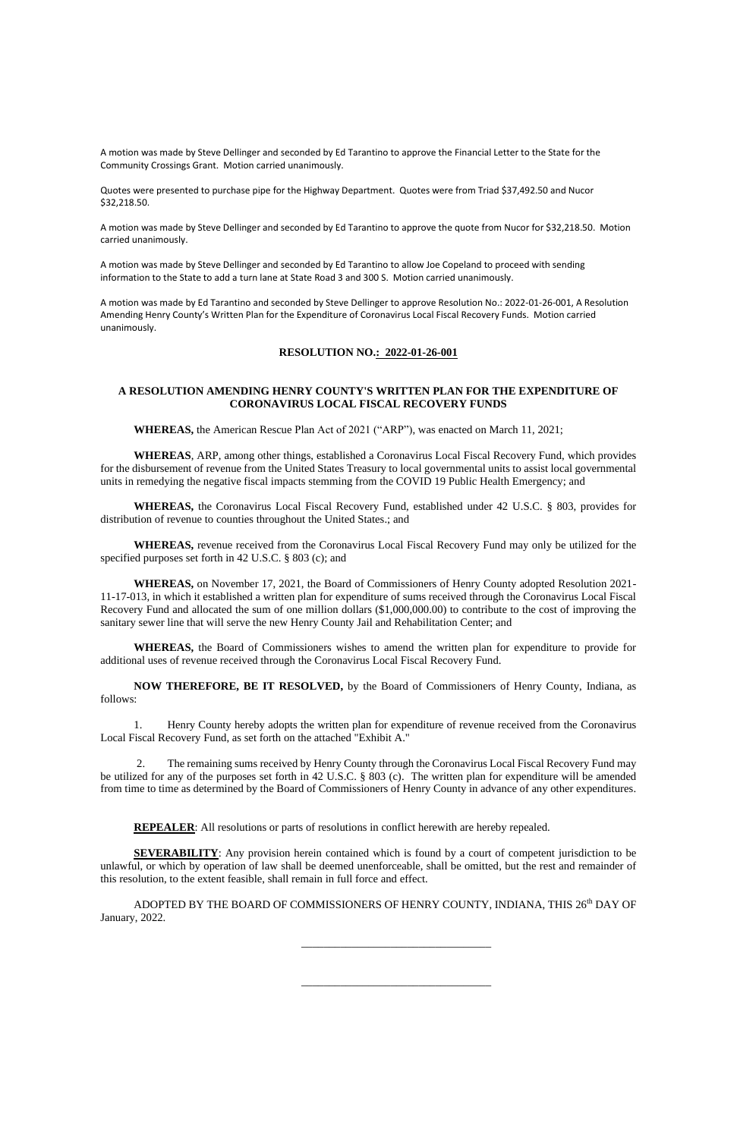A motion was made by Steve Dellinger and seconded by Ed Tarantino to approve the Financial Letter to the State for the Community Crossings Grant. Motion carried unanimously.

Quotes were presented to purchase pipe for the Highway Department. Quotes were from Triad \$37,492.50 and Nucor \$32,218.50.

A motion was made by Steve Dellinger and seconded by Ed Tarantino to approve the quote from Nucor for \$32,218.50. Motion carried unanimously.

A motion was made by Steve Dellinger and seconded by Ed Tarantino to allow Joe Copeland to proceed with sending information to the State to add a turn lane at State Road 3 and 300 S. Motion carried unanimously.

A motion was made by Ed Tarantino and seconded by Steve Dellinger to approve Resolution No.: 2022-01-26-001, A Resolution Amending Henry County's Written Plan for the Expenditure of Coronavirus Local Fiscal Recovery Funds. Motion carried unanimously.

### **RESOLUTION NO.: 2022-01-26-001**

## **A RESOLUTION AMENDING HENRY COUNTY'S WRITTEN PLAN FOR THE EXPENDITURE OF CORONAVIRUS LOCAL FISCAL RECOVERY FUNDS**

**WHEREAS,** the American Rescue Plan Act of 2021 ("ARP"), was enacted on March 11, 2021;

**WHEREAS**, ARP, among other things, established a Coronavirus Local Fiscal Recovery Fund, which provides for the disbursement of revenue from the United States Treasury to local governmental units to assist local governmental units in remedying the negative fiscal impacts stemming from the COVID 19 Public Health Emergency; and

**WHEREAS,** the Coronavirus Local Fiscal Recovery Fund, established under 42 U.S.C. § 803, provides for distribution of revenue to counties throughout the United States.; and

**SEVERABILITY:** Any provision herein contained which is found by a court of competent jurisdiction to be unlawful, or which by operation of law shall be deemed unenforceable, shall be omitted, but the rest and remainder of this resolution, to the extent feasible, shall remain in full force and effect.

**WHEREAS,** revenue received from the Coronavirus Local Fiscal Recovery Fund may only be utilized for the specified purposes set forth in 42 U.S.C. § 803 (c); and

ADOPTED BY THE BOARD OF COMMISSIONERS OF HENRY COUNTY, INDIANA, THIS  $26^{\rm th}$  DAY OF January, 2022.

**WHEREAS,** on November 17, 2021, the Board of Commissioners of Henry County adopted Resolution 2021- 11-17-013, in which it established a written plan for expenditure of sums received through the Coronavirus Local Fiscal Recovery Fund and allocated the sum of one million dollars (\$1,000,000.00) to contribute to the cost of improving the sanitary sewer line that will serve the new Henry County Jail and Rehabilitation Center; and

**WHEREAS,** the Board of Commissioners wishes to amend the written plan for expenditure to provide for additional uses of revenue received through the Coronavirus Local Fiscal Recovery Fund.

**NOW THEREFORE, BE IT RESOLVED,** by the Board of Commissioners of Henry County, Indiana, as follows:

1. Henry County hereby adopts the written plan for expenditure of revenue received from the Coronavirus Local Fiscal Recovery Fund, as set forth on the attached "Exhibit A."

2. The remaining sums received by Henry County through the Coronavirus Local Fiscal Recovery Fund may be utilized for any of the purposes set forth in 42 U.S.C. § 803 (c). The written plan for expenditure will be amended from time to time as determined by the Board of Commissioners of Henry County in advance of any other expenditures.

**REPEALER:** All resolutions or parts of resolutions in conflict herewith are hereby repealed.

\_\_\_\_\_\_\_\_\_\_\_\_\_\_\_\_\_\_\_\_\_\_\_\_\_\_\_\_\_\_\_\_\_\_

\_\_\_\_\_\_\_\_\_\_\_\_\_\_\_\_\_\_\_\_\_\_\_\_\_\_\_\_\_\_\_\_\_\_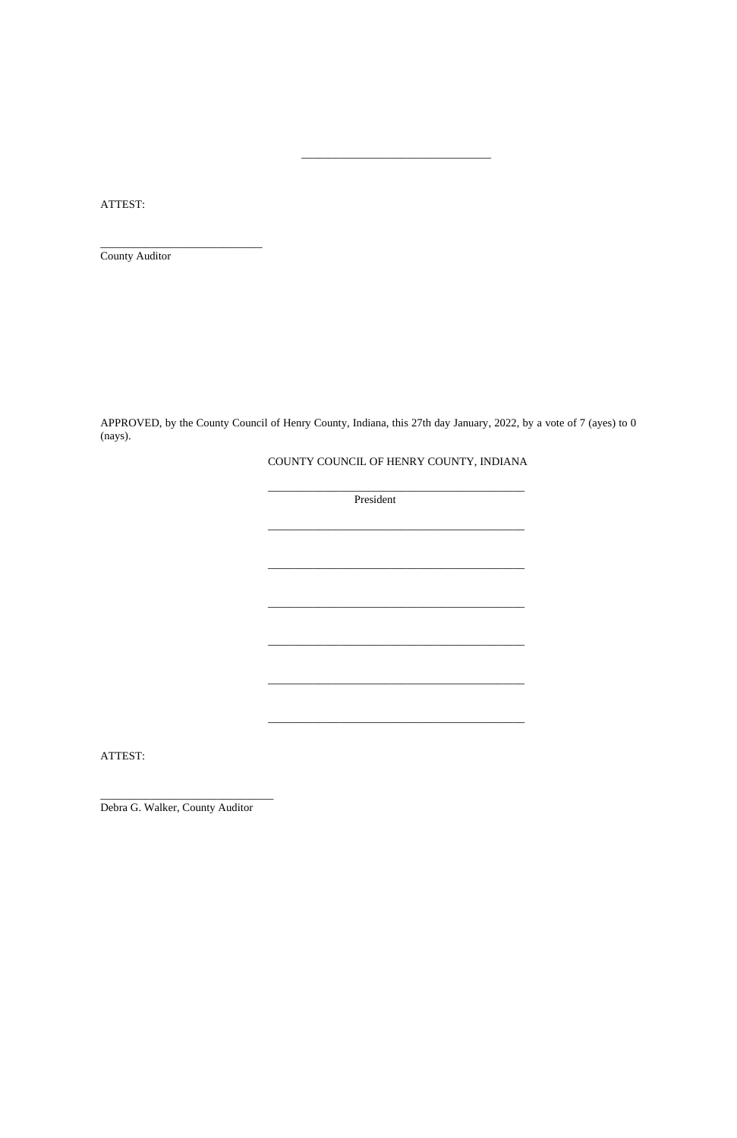ATTEST:

County Auditor

APPROVED, by the County Council of Henry County, Indiana, this 27th day January, 2022, by a vote of 7 (ayes) to 0 (nays).

# COUNTY COUNCIL OF HENRY COUNTY, INDIANA

President

ATTEST:

Debra G. Walker, County Auditor